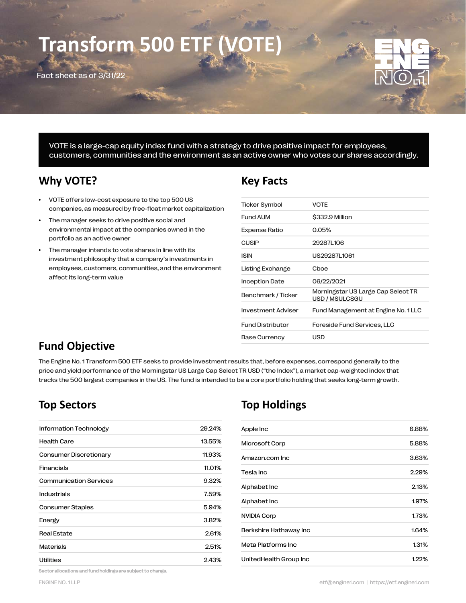# **Transform 500 ETF**

Fact sheet as of 3/31/22



VOTE is a large-cap equity index fund with a strategy to drive positive impact for employees, customers, communities and the environment as an active owner who votes our shares accordingly.

## **Why VOTE? Key Facts**

- VOTE offers low-cost exposure to the top 500 US companies, as measured by free-float market capitalization
- The manager seeks to drive positive social and environmental impact at the companies owned in the portfolio as an active owner
- The manager intends to vote shares in line with its investment philosophy that a company's investments in employees, customers, communities, and the environment affect its long-term value

| <b>Ticker Symbol</b>    | <b>VOTE</b>                                          |
|-------------------------|------------------------------------------------------|
| <b>Fund AUM</b>         | \$332.9 Million                                      |
| Expense Ratio           | 0.05%                                                |
| <b>CUSIP</b>            | 29287L106                                            |
| <b>ISIN</b>             | US292871 1061                                        |
| Listing Exchange        | Cboe                                                 |
| <b>Inception Date</b>   | 06/22/2021                                           |
| Benchmark / Ticker      | Morningstar US Large Cap Select TR<br>USD / MSULCSGU |
| Investment Adviser      | Fund Management at Engine No. 1 LLC                  |
| <b>Fund Distributor</b> | Foreside Fund Services, LLC                          |
| <b>Base Currency</b>    | USD                                                  |
|                         |                                                      |

# **Fund Objective**

The Engine No. 1 Transform 500 ETF seeks to provide investment results that, before expenses, correspond generally to the price and yield performance of the Morningstar US Large Cap Select TR USD ("the Index"), a market cap-weighted index that tracks the 500 largest companies in the US. The fund is intended to be a core portfolio holding that seeks long-term growth.

| Information Technology        | 29.24% |
|-------------------------------|--------|
| <b>Health Care</b>            | 13.55% |
| Consumer Discretionary        | 11.93% |
| Financials                    | 11.01% |
| <b>Communication Services</b> | 9.32%  |
| <b>Industrials</b>            | 7.59%  |
| <b>Consumer Staples</b>       | 5.94%  |
| Energy                        | 3.82%  |
| <b>Real Estate</b>            | 2.61%  |
| Materials                     | 2.51%  |
| <b>Utilities</b>              | 2.43%  |

# **Top Sectors Top Holdings**

| Apple Inc              | 6.88% |
|------------------------|-------|
| Microsoft Corp         | 5.88% |
| Amazon.com Inc         | 3.63% |
| Tesla Inc              | 2.29% |
| Alphabet Inc           | 2.13% |
| Alphabet Inc           | 1.97% |
| <b>NVIDIA Corp</b>     | 1.73% |
| Berkshire Hathaway Inc | 1.64% |
| Meta Platforms Inc     | 1.31% |
| UnitedHealth Group Inc | 1.22% |

Sector allocations and fund holdings are subject to change.